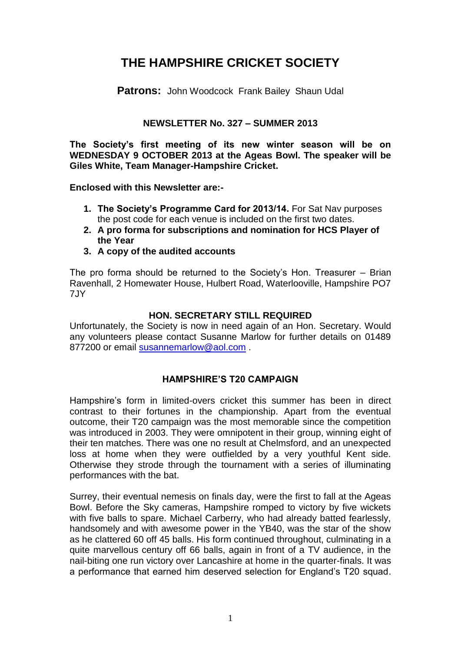# **THE HAMPSHIRE CRICKET SOCIETY**

**Patrons:** John Woodcock Frank Bailey Shaun Udal

# **NEWSLETTER No. 327 – SUMMER 2013**

**The Society's first meeting of its new winter season will be on WEDNESDAY 9 OCTOBER 2013 at the Ageas Bowl. The speaker will be Giles White, Team Manager-Hampshire Cricket.** 

**Enclosed with this Newsletter are:-**

- **1. The Society's Programme Card for 2013/14.** For Sat Nav purposes the post code for each venue is included on the first two dates.
- **2. A pro forma for subscriptions and nomination for HCS Player of the Year**
- **3. A copy of the audited accounts**

The pro forma should be returned to the Society's Hon. Treasurer – Brian Ravenhall, 2 Homewater House, Hulbert Road, Waterlooville, Hampshire PO7 7JY

#### **HON. SECRETARY STILL REQUIRED**

Unfortunately, the Society is now in need again of an Hon. Secretary. Would any volunteers please contact Susanne Marlow for further details on 01489 877200 or email [susannemarlow@aol.com](mailto:susannemarlow@aol.com).

# **HAMPSHIRE'S T20 CAMPAIGN**

Hampshire's form in limited-overs cricket this summer has been in direct contrast to their fortunes in the championship. Apart from the eventual outcome, their T20 campaign was the most memorable since the competition was introduced in 2003. They were omnipotent in their group, winning eight of their ten matches. There was one no result at Chelmsford, and an unexpected loss at home when they were outfielded by a very youthful Kent side. Otherwise they strode through the tournament with a series of illuminating performances with the bat.

Surrey, their eventual nemesis on finals day, were the first to fall at the Ageas Bowl. Before the Sky cameras, Hampshire romped to victory by five wickets with five balls to spare. Michael Carberry, who had already batted fearlessly, handsomely and with awesome power in the YB40, was the star of the show as he clattered 60 off 45 balls. His form continued throughout, culminating in a quite marvellous century off 66 balls, again in front of a TV audience, in the nail-biting one run victory over Lancashire at home in the quarter-finals. It was a performance that earned him deserved selection for England's T20 squad.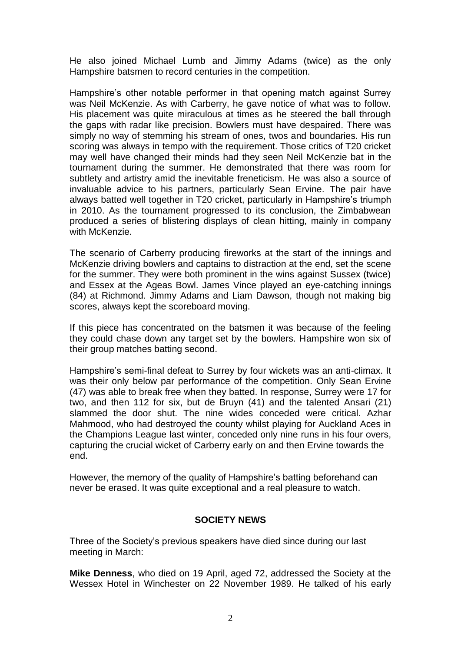He also joined Michael Lumb and Jimmy Adams (twice) as the only Hampshire batsmen to record centuries in the competition.

Hampshire's other notable performer in that opening match against Surrey was Neil McKenzie. As with Carberry, he gave notice of what was to follow. His placement was quite miraculous at times as he steered the ball through the gaps with radar like precision. Bowlers must have despaired. There was simply no way of stemming his stream of ones, twos and boundaries. His run scoring was always in tempo with the requirement. Those critics of T20 cricket may well have changed their minds had they seen Neil McKenzie bat in the tournament during the summer. He demonstrated that there was room for subtlety and artistry amid the inevitable freneticism. He was also a source of invaluable advice to his partners, particularly Sean Ervine. The pair have always batted well together in T20 cricket, particularly in Hampshire's triumph in 2010. As the tournament progressed to its conclusion, the Zimbabwean produced a series of blistering displays of clean hitting, mainly in company with McKenzie.

The scenario of Carberry producing fireworks at the start of the innings and McKenzie driving bowlers and captains to distraction at the end, set the scene for the summer. They were both prominent in the wins against Sussex (twice) and Essex at the Ageas Bowl. James Vince played an eye-catching innings (84) at Richmond. Jimmy Adams and Liam Dawson, though not making big scores, always kept the scoreboard moving.

If this piece has concentrated on the batsmen it was because of the feeling they could chase down any target set by the bowlers. Hampshire won six of their group matches batting second.

Hampshire's semi-final defeat to Surrey by four wickets was an anti-climax. It was their only below par performance of the competition. Only Sean Ervine (47) was able to break free when they batted. In response, Surrey were 17 for two, and then 112 for six, but de Bruyn (41) and the talented Ansari (21) slammed the door shut. The nine wides conceded were critical. Azhar Mahmood, who had destroyed the county whilst playing for Auckland Aces in the Champions League last winter, conceded only nine runs in his four overs, capturing the crucial wicket of Carberry early on and then Ervine towards the end.

However, the memory of the quality of Hampshire's batting beforehand can never be erased. It was quite exceptional and a real pleasure to watch.

# **SOCIETY NEWS**

Three of the Society's previous speakers have died since during our last meeting in March:

**Mike Denness**, who died on 19 April, aged 72, addressed the Society at the Wessex Hotel in Winchester on 22 November 1989. He talked of his early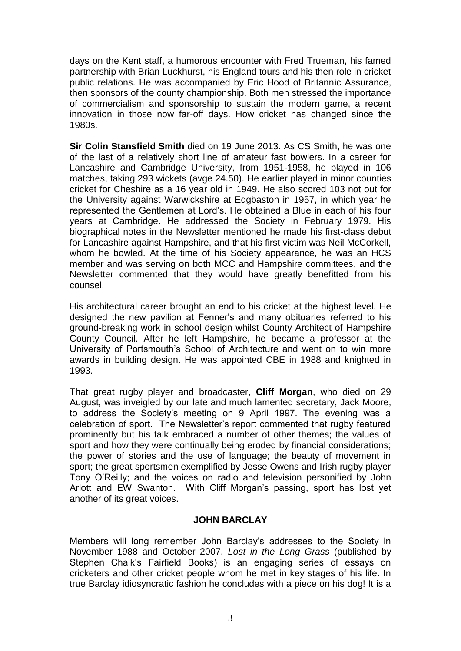days on the Kent staff, a humorous encounter with Fred Trueman, his famed partnership with Brian Luckhurst, his England tours and his then role in cricket public relations. He was accompanied by Eric Hood of Britannic Assurance, then sponsors of the county championship. Both men stressed the importance of commercialism and sponsorship to sustain the modern game, a recent innovation in those now far-off days. How cricket has changed since the 1980s.

**Sir Colin Stansfield Smith** died on 19 June 2013. As CS Smith, he was one of the last of a relatively short line of amateur fast bowlers. In a career for Lancashire and Cambridge University, from 1951-1958, he played in 106 matches, taking 293 wickets (avge 24.50). He earlier played in minor counties cricket for Cheshire as a 16 year old in 1949. He also scored 103 not out for the University against Warwickshire at Edgbaston in 1957, in which year he represented the Gentlemen at Lord's. He obtained a Blue in each of his four years at Cambridge. He addressed the Society in February 1979. His biographical notes in the Newsletter mentioned he made his first-class debut for Lancashire against Hampshire, and that his first victim was Neil McCorkell, whom he bowled. At the time of his Society appearance, he was an HCS member and was serving on both MCC and Hampshire committees, and the Newsletter commented that they would have greatly benefitted from his counsel.

His architectural career brought an end to his cricket at the highest level. He designed the new pavilion at Fenner's and many obituaries referred to his ground-breaking work in school design whilst County Architect of Hampshire County Council. After he left Hampshire, he became a professor at the University of Portsmouth's School of Architecture and went on to win more awards in building design. He was appointed CBE in 1988 and knighted in 1993.

That great rugby player and broadcaster, **Cliff Morgan**, who died on 29 August, was inveigled by our late and much lamented secretary, Jack Moore, to address the Society's meeting on 9 April 1997. The evening was a celebration of sport. The Newsletter's report commented that rugby featured prominently but his talk embraced a number of other themes; the values of sport and how they were continually being eroded by financial considerations; the power of stories and the use of language; the beauty of movement in sport; the great sportsmen exemplified by Jesse Owens and Irish rugby player Tony O'Reilly; and the voices on radio and television personified by John Arlott and EW Swanton. With Cliff Morgan's passing, sport has lost yet another of its great voices.

# **JOHN BARCLAY**

Members will long remember John Barclay's addresses to the Society in November 1988 and October 2007. *Lost in the Long Grass* (published by Stephen Chalk's Fairfield Books) is an engaging series of essays on cricketers and other cricket people whom he met in key stages of his life. In true Barclay idiosyncratic fashion he concludes with a piece on his dog! It is a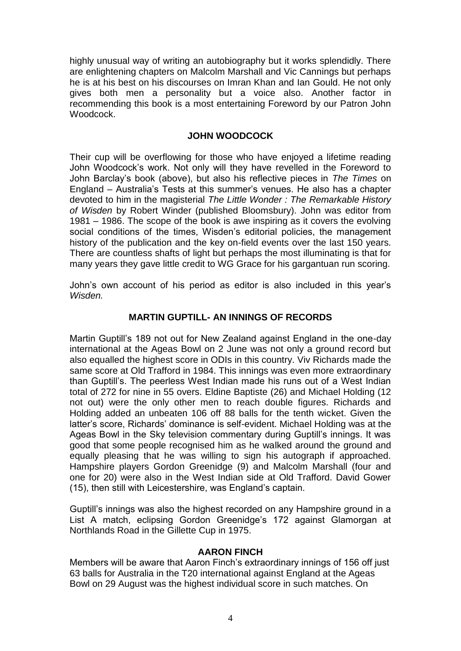highly unusual way of writing an autobiography but it works splendidly. There are enlightening chapters on Malcolm Marshall and Vic Cannings but perhaps he is at his best on his discourses on Imran Khan and Ian Gould. He not only gives both men a personality but a voice also. Another factor in recommending this book is a most entertaining Foreword by our Patron John Woodcock.

# **JOHN WOODCOCK**

Their cup will be overflowing for those who have enjoyed a lifetime reading John Woodcock's work. Not only will they have revelled in the Foreword to John Barclay's book (above), but also his reflective pieces in *The Times* on England – Australia's Tests at this summer's venues. He also has a chapter devoted to him in the magisterial *The Little Wonder : The Remarkable History of Wisden* by Robert Winder (published Bloomsbury). John was editor from 1981 – 1986. The scope of the book is awe inspiring as it covers the evolving social conditions of the times, Wisden's editorial policies, the management history of the publication and the key on-field events over the last 150 years. There are countless shafts of light but perhaps the most illuminating is that for many years they gave little credit to WG Grace for his gargantuan run scoring.

John's own account of his period as editor is also included in this year's *Wisden.*

# **MARTIN GUPTILL- AN INNINGS OF RECORDS**

Martin Guptill's 189 not out for New Zealand against England in the one-day international at the Ageas Bowl on 2 June was not only a ground record but also equalled the highest score in ODIs in this country. Viv Richards made the same score at Old Trafford in 1984. This innings was even more extraordinary than Guptill's. The peerless West Indian made his runs out of a West Indian total of 272 for nine in 55 overs. Eldine Baptiste (26) and Michael Holding (12 not out) were the only other men to reach double figures. Richards and Holding added an unbeaten 106 off 88 balls for the tenth wicket. Given the latter's score, Richards' dominance is self-evident. Michael Holding was at the Ageas Bowl in the Sky television commentary during Guptill's innings. It was good that some people recognised him as he walked around the ground and equally pleasing that he was willing to sign his autograph if approached. Hampshire players Gordon Greenidge (9) and Malcolm Marshall (four and one for 20) were also in the West Indian side at Old Trafford. David Gower (15), then still with Leicestershire, was England's captain.

Guptill's innings was also the highest recorded on any Hampshire ground in a List A match, eclipsing Gordon Greenidge's 172 against Glamorgan at Northlands Road in the Gillette Cup in 1975.

# **AARON FINCH**

Members will be aware that Aaron Finch's extraordinary innings of 156 off just 63 balls for Australia in the T20 international against England at the Ageas Bowl on 29 August was the highest individual score in such matches. On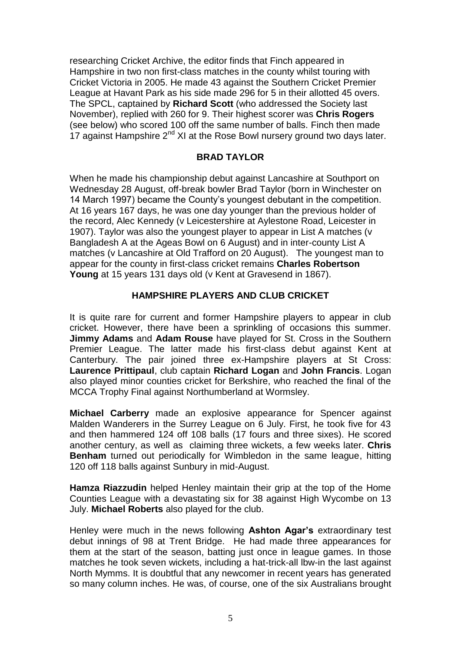researching Cricket Archive, the editor finds that Finch appeared in Hampshire in two non first-class matches in the county whilst touring with Cricket Victoria in 2005. He made 43 against the Southern Cricket Premier League at Havant Park as his side made 296 for 5 in their allotted 45 overs. The SPCL, captained by **Richard Scott** (who addressed the Society last November), replied with 260 for 9. Their highest scorer was **Chris Rogers** (see below) who scored 100 off the same number of balls. Finch then made 17 against Hampshire  $2<sup>nd</sup>$  XI at the Rose Bowl nursery ground two days later.

# **BRAD TAYLOR**

When he made his championship debut against Lancashire at Southport on Wednesday 28 August, off-break bowler Brad Taylor (born in Winchester on 14 March 1997) became the County's youngest debutant in the competition. At 16 years 167 days, he was one day younger than the previous holder of the record, Alec Kennedy (v Leicestershire at Aylestone Road, Leicester in 1907). Taylor was also the youngest player to appear in List A matches (v Bangladesh A at the Ageas Bowl on 6 August) and in inter-county List A matches (v Lancashire at Old Trafford on 20 August). The youngest man to appear for the county in first-class cricket remains **Charles Robertson Young** at 15 years 131 days old (v Kent at Gravesend in 1867).

# **HAMPSHIRE PLAYERS AND CLUB CRICKET**

It is quite rare for current and former Hampshire players to appear in club cricket. However, there have been a sprinkling of occasions this summer. **Jimmy Adams** and **Adam Rouse** have played for St. Cross in the Southern Premier League. The latter made his first-class debut against Kent at Canterbury. The pair joined three ex-Hampshire players at St Cross: **Laurence Prittipaul**, club captain **Richard Logan** and **John Francis**. Logan also played minor counties cricket for Berkshire, who reached the final of the MCCA Trophy Final against Northumberland at Wormsley.

**Michael Carberry** made an explosive appearance for Spencer against Malden Wanderers in the Surrey League on 6 July. First, he took five for 43 and then hammered 124 off 108 balls (17 fours and three sixes). He scored another century, as well as claiming three wickets, a few weeks later. **Chris Benham** turned out periodically for Wimbledon in the same league, hitting 120 off 118 balls against Sunbury in mid-August.

**Hamza Riazzudin** helped Henley maintain their grip at the top of the Home Counties League with a devastating six for 38 against High Wycombe on 13 July. **Michael Roberts** also played for the club.

Henley were much in the news following **Ashton Agar's** extraordinary test debut innings of 98 at Trent Bridge. He had made three appearances for them at the start of the season, batting just once in league games. In those matches he took seven wickets, including a hat-trick-all lbw-in the last against North Mymms. It is doubtful that any newcomer in recent years has generated so many column inches. He was, of course, one of the six Australians brought